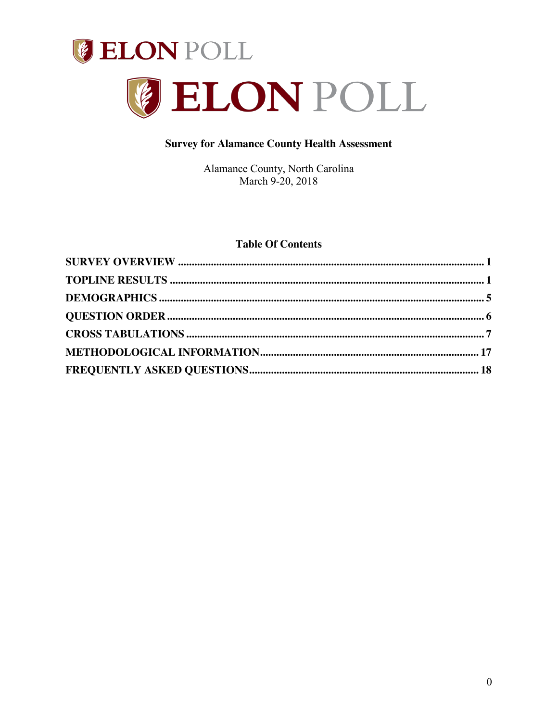



# **Survey for Alamance County Health Assessment**

Alamance County, North Carolina March 9-20, 2018

## **Table Of Contents**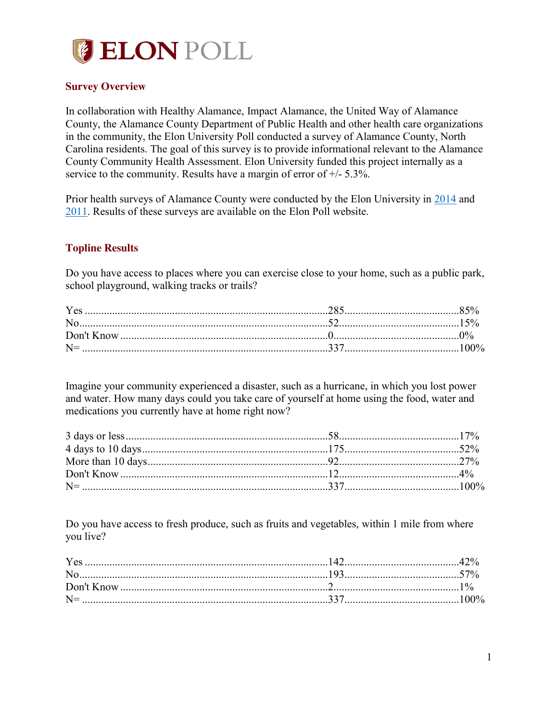

## **Survey Overview**

In collaboration with Healthy Alamance, Impact Alamance, the United Way of Alamance County, the Alamance County Department of Public Health and other health care organizations in the community, the Elon University Poll conducted a survey of Alamance County, North Carolina residents. The goal of this survey is to provide informational relevant to the Alamance County Community Health Assessment. Elon University funded this project internally as a service to the community. Results have a margin of error of +/- 5.3%.

Prior health surveys of Alamance County were conducted by the Elon University in 2014 and 2011. Results of these surveys are available on the Elon Poll website.

# **Topline Results**

Do you have access to places where you can exercise close to your home, such as a public park, school playground, walking tracks or trails?

| $N =$ |  |
|-------|--|
|       |  |

Imagine your community experienced a disaster, such as a hurricane, in which you lost power and water. How many days could you take care of yourself at home using the food, water and medications you currently have at home right now?

Do you have access to fresh produce, such as fruits and vegetables, within 1 mile from where you live?

|            | Y es |  |
|------------|------|--|
|            |      |  |
| Don't Know |      |  |
| $N =$      |      |  |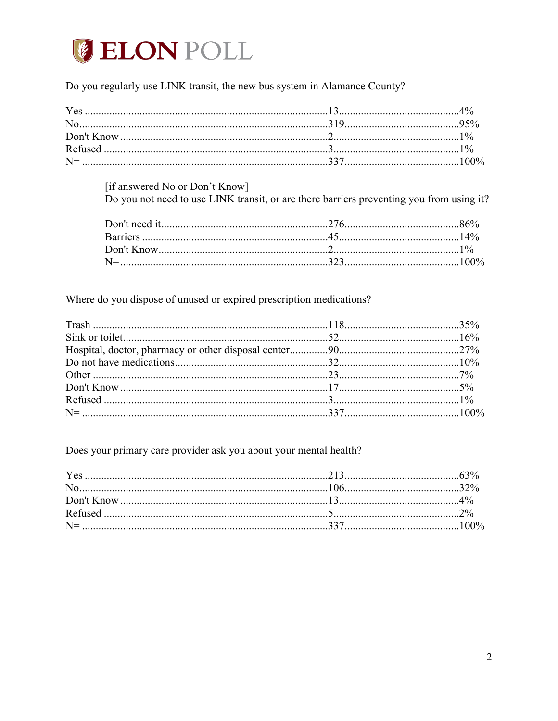# **GELON POLL**

# Do you regularly use LINK transit, the new bus system in Alamance County?

| Yes |  |
|-----|--|
|     |  |
|     |  |
|     |  |
|     |  |

[if answered No or Don't Know]

Do you not need to use LINK transit, or are there barriers preventing you from using it?

Where do you dispose of unused or expired prescription medications?

Does your primary care provider ask you about your mental health?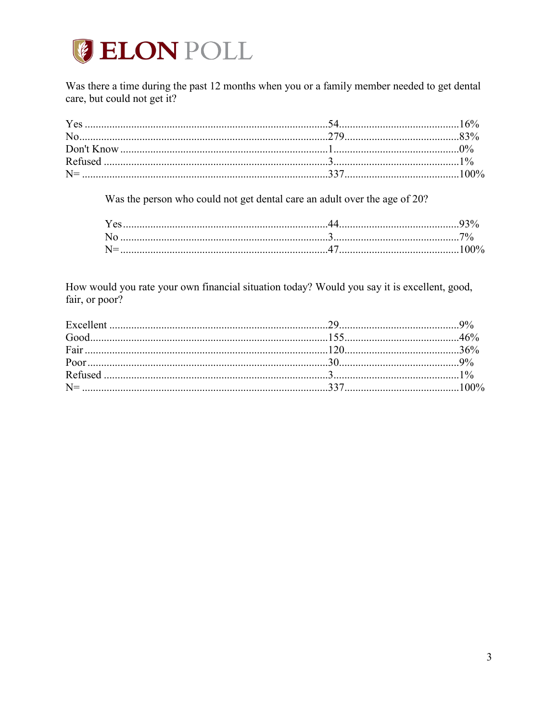

Was there a time during the past 12 months when you or a family member needed to get dental care, but could not get it?

Was the person who could not get dental care an adult over the age of 20?

How would you rate your own financial situation today? Would you say it is excellent, good, fair, or poor?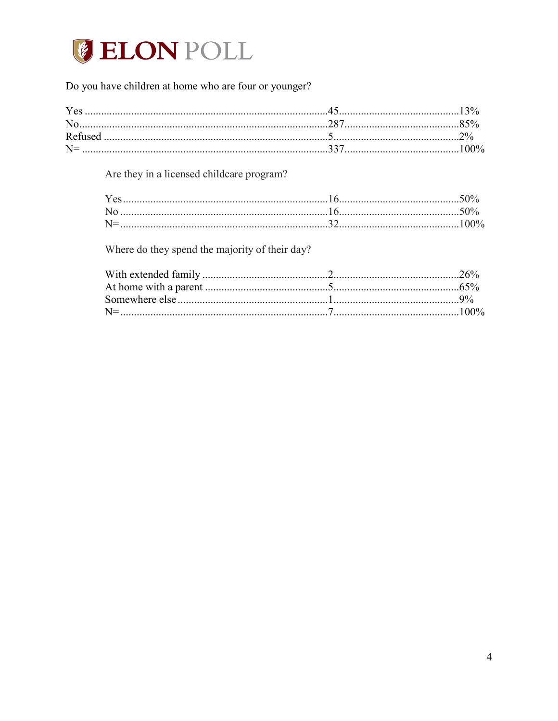

# Do you have children at home who are four or younger?

| $R$ efuse |     |  |
|-----------|-----|--|
|           | 337 |  |

Are they in a licensed childcare program?

Where do they spend the majority of their day?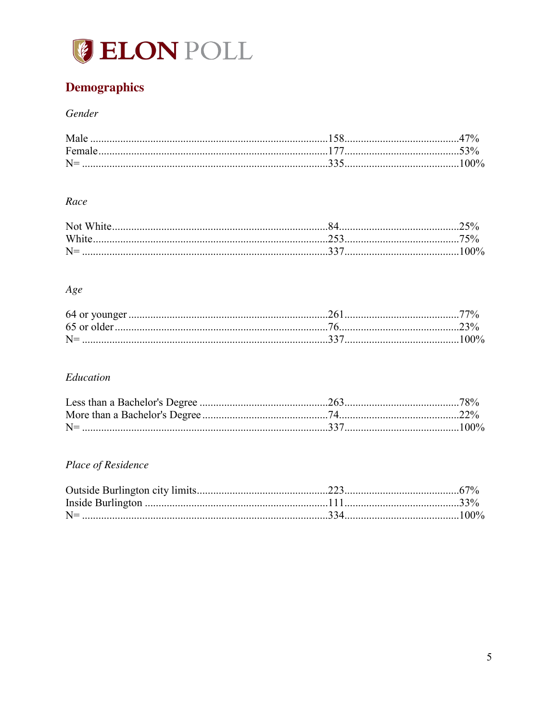

# **Demographics**

# Gender

| $N =$ |  |
|-------|--|

# Race

| Whi.             |  |
|------------------|--|
|                  |  |
| $N =$<br>$100\%$ |  |

# $Age$

| $N =$ | $100\%$ |
|-------|---------|

# Education

| $N=$ |  |
|------|--|

# Place of Residence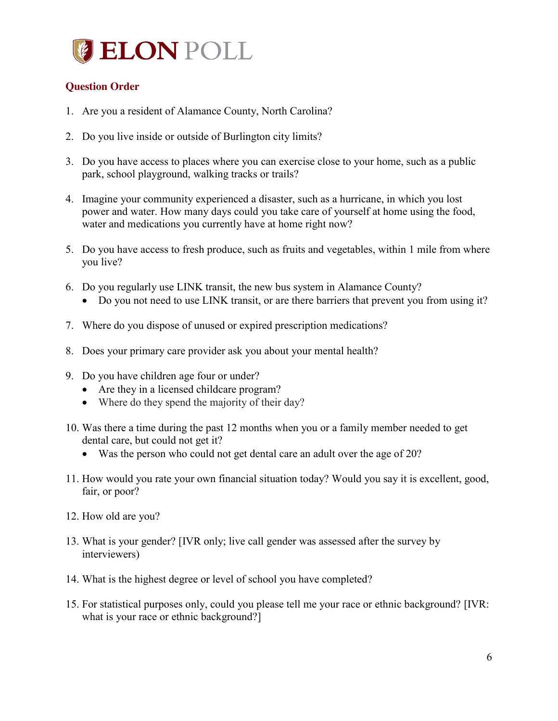

# **Question Order**

- 1. Are you a resident of Alamance County, North Carolina?
- 2. Do you live inside or outside of Burlington city limits?
- 3. Do you have access to places where you can exercise close to your home, such as a public park, school playground, walking tracks or trails?
- 4. Imagine your community experienced a disaster, such as a hurricane, in which you lost power and water. How many days could you take care of yourself at home using the food, water and medications you currently have at home right now?
- 5. Do you have access to fresh produce, such as fruits and vegetables, within 1 mile from where you live?
- 6. Do you regularly use LINK transit, the new bus system in Alamance County?
	- Do you not need to use LINK transit, or are there barriers that prevent you from using it?
- 7. Where do you dispose of unused or expired prescription medications?
- 8. Does your primary care provider ask you about your mental health?
- 9. Do you have children age four or under?
	- Are they in a licensed childcare program?
	- $\bullet$  Where do they spend the majority of their day?
- 10. Was there a time during the past 12 months when you or a family member needed to get dental care, but could not get it?
	- Was the person who could not get dental care an adult over the age of 20?
- 11. How would you rate your own financial situation today? Would you say it is excellent, good, fair, or poor?
- 12. How old are you?
- 13. What is your gender? [IVR only; live call gender was assessed after the survey by interviewers)
- 14. What is the highest degree or level of school you have completed?
- 15. For statistical purposes only, could you please tell me your race or ethnic background? [IVR: what is your race or ethnic background?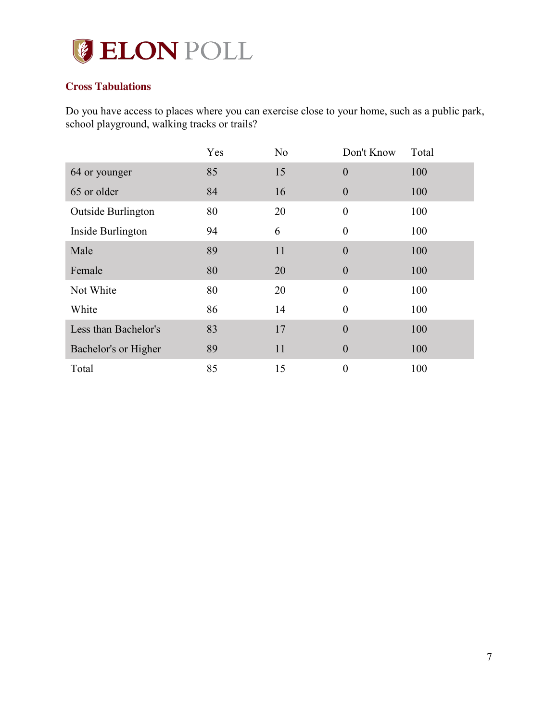

# **Cross Tabulations**

Do you have access to places where you can exercise close to your home, such as a public park, school playground, walking tracks or trails?

|                           | Yes | N <sub>0</sub> | Don't Know       | Total |
|---------------------------|-----|----------------|------------------|-------|
| 64 or younger             | 85  | 15             | $\theta$         | 100   |
| 65 or older               | 84  | 16             | $\theta$         | 100   |
| <b>Outside Burlington</b> | 80  | 20             | $\boldsymbol{0}$ | 100   |
| Inside Burlington         | 94  | 6              | $\theta$         | 100   |
| Male                      | 89  | 11             | $\overline{0}$   | 100   |
| Female                    | 80  | 20             | $\theta$         | 100   |
| Not White                 | 80  | 20             | $\theta$         | 100   |
| White                     | 86  | 14             | $\theta$         | 100   |
| Less than Bachelor's      | 83  | 17             | $\theta$         | 100   |
| Bachelor's or Higher      | 89  | 11             | $\theta$         | 100   |
| Total                     | 85  | 15             | $\boldsymbol{0}$ | 100   |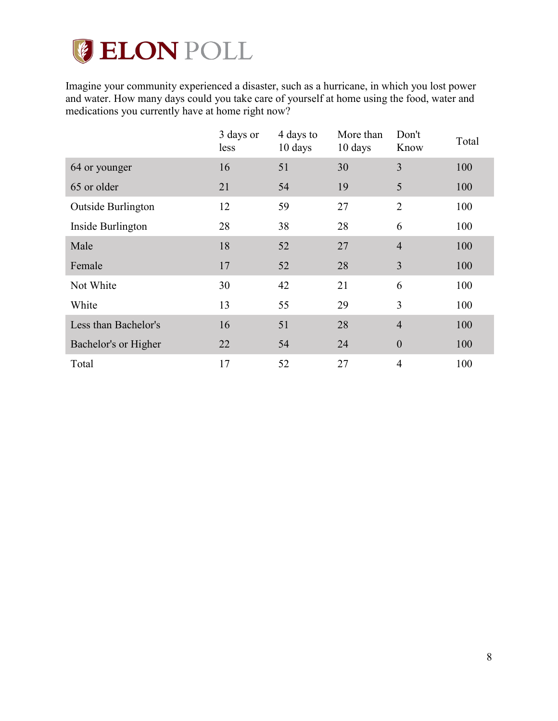# **CELON POLL**

Imagine your community experienced a disaster, such as a hurricane, in which you lost power and water. How many days could you take care of yourself at home using the food, water and medications you currently have at home right now?

|                      | 3 days or<br>less | 4 days to<br>10 days | More than<br>10 days | Don't<br>Know    | Total |
|----------------------|-------------------|----------------------|----------------------|------------------|-------|
| 64 or younger        | 16                | 51                   | 30                   | 3                | 100   |
| 65 or older          | 21                | 54                   | 19                   | 5                | 100   |
| Outside Burlington   | 12                | 59                   | 27                   | $\overline{2}$   | 100   |
| Inside Burlington    | 28                | 38                   | 28                   | 6                | 100   |
| Male                 | 18                | 52                   | 27                   | $\overline{4}$   | 100   |
| Female               | 17                | 52                   | 28                   | 3                | 100   |
| Not White            | 30                | 42                   | 21                   | 6                | 100   |
| White                | 13                | 55                   | 29                   | 3                | 100   |
| Less than Bachelor's | 16                | 51                   | 28                   | $\overline{4}$   | 100   |
| Bachelor's or Higher | 22                | 54                   | 24                   | $\boldsymbol{0}$ | 100   |
| Total                | 17                | 52                   | 27                   | $\overline{4}$   | 100   |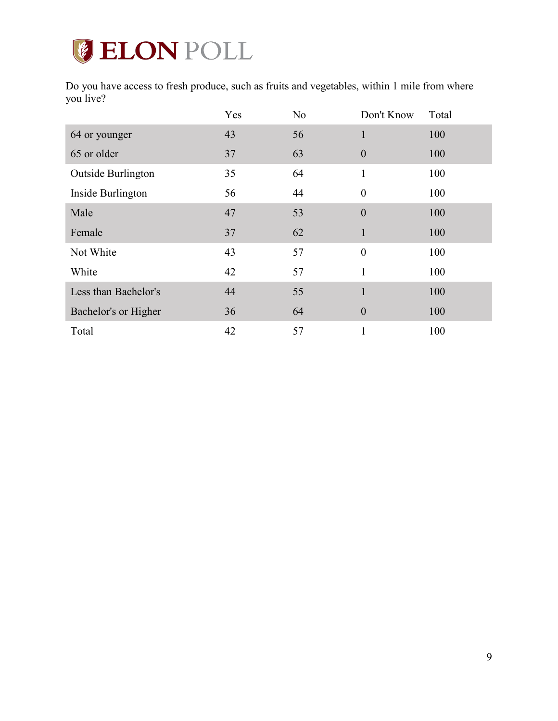# **GELON POLL**

Do you have access to fresh produce, such as fruits and vegetables, within 1 mile from where you live?

|                      | Yes | N <sub>o</sub> | Don't Know       | Total |
|----------------------|-----|----------------|------------------|-------|
| 64 or younger        | 43  | 56             | $\mathbf{1}$     | 100   |
| 65 or older          | 37  | 63             | $\theta$         | 100   |
| Outside Burlington   | 35  | 64             | $\mathbf{1}$     | 100   |
| Inside Burlington    | 56  | 44             | $\boldsymbol{0}$ | 100   |
| Male                 | 47  | 53             | $\boldsymbol{0}$ | 100   |
| Female               | 37  | 62             | $\mathbf{1}$     | 100   |
| Not White            | 43  | 57             | $\boldsymbol{0}$ | 100   |
| White                | 42  | 57             | 1                | 100   |
| Less than Bachelor's | 44  | 55             | $\mathbf{1}$     | 100   |
| Bachelor's or Higher | 36  | 64             | $\boldsymbol{0}$ | 100   |
| Total                | 42  | 57             |                  | 100   |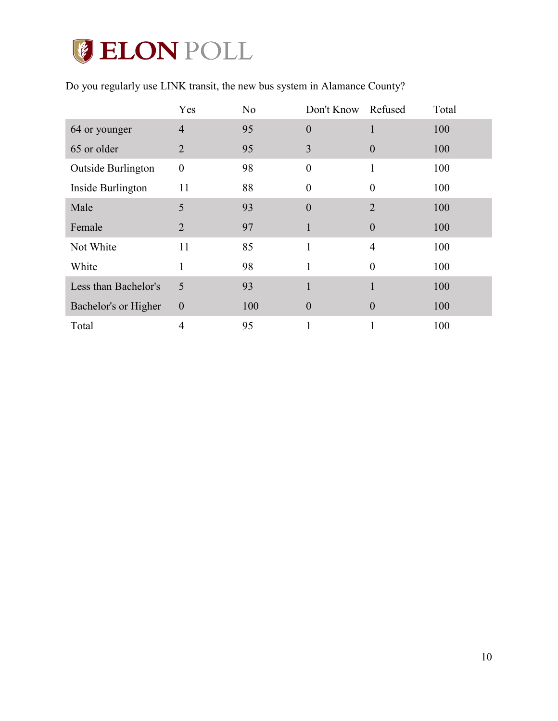# **ELON POLL**

| Do you regularly use LINK transit, the new bus system in Alamance County? |
|---------------------------------------------------------------------------|
|---------------------------------------------------------------------------|

|                      | Yes              | N <sub>o</sub> | Don't Know       | Refused        | Total |
|----------------------|------------------|----------------|------------------|----------------|-------|
| 64 or younger        | $\overline{4}$   | 95             | $\overline{0}$   |                | 100   |
| 65 or older          | $\overline{2}$   | 95             | 3                | $\theta$       | 100   |
| Outside Burlington   | $\boldsymbol{0}$ | 98             | $\boldsymbol{0}$ |                | 100   |
| Inside Burlington    | 11               | 88             | $\boldsymbol{0}$ | $\theta$       | 100   |
| Male                 | 5                | 93             | $\overline{0}$   | $\overline{2}$ | 100   |
| Female               | $\overline{2}$   | 97             | 1                | $\theta$       | 100   |
| Not White            | 11               | 85             |                  | $\overline{4}$ | 100   |
| White                | 1                | 98             | 1                | $\theta$       | 100   |
| Less than Bachelor's | 5                | 93             | $\mathbf{1}$     |                | 100   |
| Bachelor's or Higher | $\boldsymbol{0}$ | 100            | $\boldsymbol{0}$ | $\overline{0}$ | 100   |
| Total                | 4                | 95             |                  |                | 100   |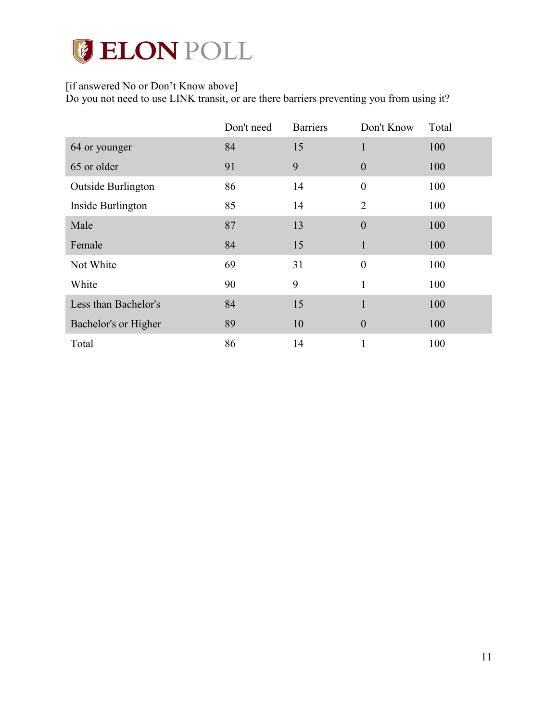# **CELON POLL**

# [if answered No or Don't Know above]

Do you not need to use LINK transit, or are there barriers preventing you from using it?

|                      | Don't need | <b>Barriers</b> | Don't Know       | Total |
|----------------------|------------|-----------------|------------------|-------|
| 64 or younger        | 84         | 15              |                  | 100   |
| 65 or older          | 91         | 9               | $\theta$         | 100   |
| Outside Burlington   | 86         | 14              | $\boldsymbol{0}$ | 100   |
| Inside Burlington    | 85         | 14              | $\overline{2}$   | 100   |
| Male                 | 87         | 13              | $\overline{0}$   | 100   |
| Female               | 84         | 15              | 1                | 100   |
| Not White            | 69         | 31              | $\boldsymbol{0}$ | 100   |
| White                | 90         | 9               |                  | 100   |
| Less than Bachelor's | 84         | 15              | 1                | 100   |
| Bachelor's or Higher | 89         | 10              | $\boldsymbol{0}$ | 100   |
| Total                | 86         | 14              |                  | 100   |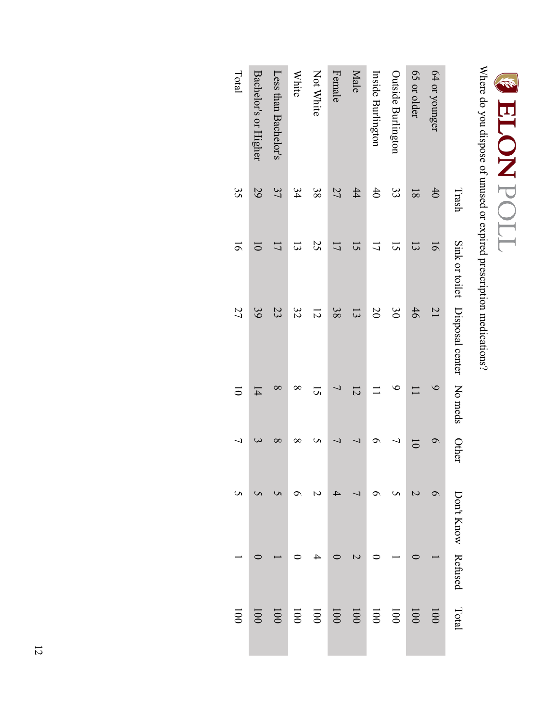# **E LLON DON**<br>Where do you dispose of unused or expired prescription medications?

Where do you dispose of unused or expired prescription medications?

|                             | Trash          |                       | Sink or toilet Disposal center No meds |                       | Other          | Don't Know Refused | Total            |
|-----------------------------|----------------|-----------------------|----------------------------------------|-----------------------|----------------|--------------------|------------------|
| 64 or younger               | 40             | $\overline{6}$        | $\overline{21}$                        | $\circ$               | ๑              |                    | 1001             |
| 65 or older                 | $\overline{8}$ | $\vec{3}$             | 46                                     |                       | $\overline{0}$ |                    | 100              |
| Outside Burlington          | 33             | $\overline{c}$        | $\frac{8}{20}$                         | ء                     | ر              |                    | 001              |
| Inside Burlington           | 40             | こ                     | $\infty$                               |                       |                |                    | 1001             |
| Male                        | 44             | $\tilde{\mathcal{L}}$ | $\overline{3}$                         | $\overline{5}$        |                |                    | 1001             |
| Female                      | 27             | 17                    | 38                                     |                       |                |                    | 100              |
| Not White                   | 38             | 25                    | $\overline{5}$                         | $\tilde{\mathcal{L}}$ |                |                    | 100              |
| <b>White</b>                | 34             | $\vec{3}$             | 32                                     | $\infty$              |                |                    | 100              |
| Less than Bachelor's        | 37             | 17                    | 23                                     | $\infty$              | $\infty$       |                    | $\overline{001}$ |
| <b>Bachelor's or Higher</b> | 29             | $\overline{\circ}$    | 39                                     | $\overline{4}$        |                |                    | 100              |
| Total                       | 35             | $\overline{5}$        | 27                                     | ਠ                     |                |                    | $\overline{00}$  |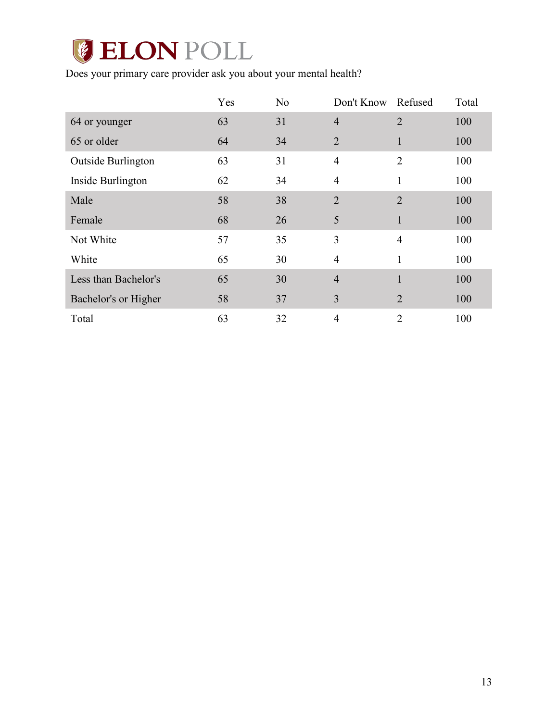# **CELON POLL**

Does your primary care provider ask you about your mental health?

|                      | Yes | N <sub>o</sub> | Don't Know     | Refused        | Total |
|----------------------|-----|----------------|----------------|----------------|-------|
| 64 or younger        | 63  | 31             | $\overline{4}$ | $\overline{2}$ | 100   |
| 65 or older          | 64  | 34             | $\overline{2}$ | $\mathbf{1}$   | 100   |
| Outside Burlington   | 63  | 31             | $\overline{4}$ | $\overline{2}$ | 100   |
| Inside Burlington    | 62  | 34             | $\overline{4}$ | 1              | 100   |
| Male                 | 58  | 38             | $\overline{2}$ | $\overline{2}$ | 100   |
| Female               | 68  | 26             | 5              | 1              | 100   |
| Not White            | 57  | 35             | 3              | $\overline{4}$ | 100   |
| White                | 65  | 30             | $\overline{4}$ | 1              | 100   |
| Less than Bachelor's | 65  | 30             | $\overline{4}$ | $\mathbf{1}$   | 100   |
| Bachelor's or Higher | 58  | 37             | 3              | $\overline{2}$ | 100   |
| Total                | 63  | 32             | $\overline{4}$ | $\overline{2}$ | 100   |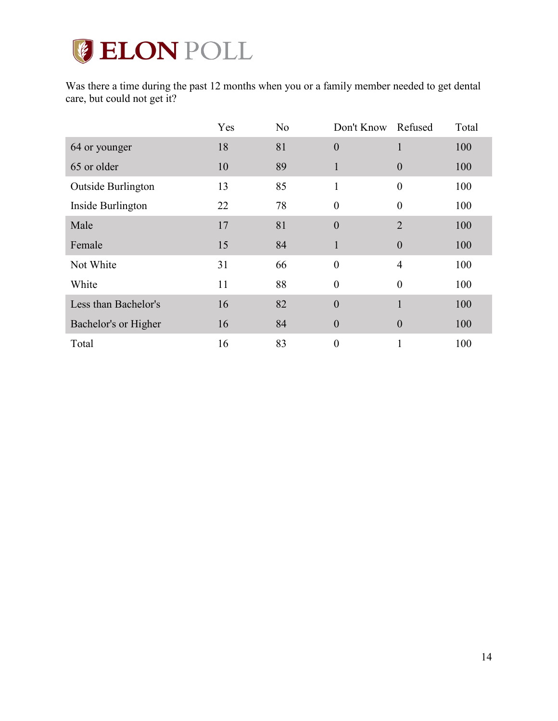

Was there a time during the past 12 months when you or a family member needed to get dental care, but could not get it?

|                      | Yes | N <sub>o</sub> | Don't Know       | Refused          | Total |
|----------------------|-----|----------------|------------------|------------------|-------|
| 64 or younger        | 18  | 81             | $\overline{0}$   | 1                | 100   |
| 65 or older          | 10  | 89             | 1                | $\mathbf{0}$     | 100   |
| Outside Burlington   | 13  | 85             | 1                | $\boldsymbol{0}$ | 100   |
| Inside Burlington    | 22  | 78             | $\theta$         | $\theta$         | 100   |
| Male                 | 17  | 81             | $\mathbf{0}$     | $\overline{2}$   | 100   |
| Female               | 15  | 84             | 1                | $\mathbf{0}$     | 100   |
| Not White            | 31  | 66             | $\boldsymbol{0}$ | $\overline{4}$   | 100   |
| White                | 11  | 88             | $\theta$         | $\theta$         | 100   |
| Less than Bachelor's | 16  | 82             | $\overline{0}$   | 1                | 100   |
| Bachelor's or Higher | 16  | 84             | $\boldsymbol{0}$ | $\boldsymbol{0}$ | 100   |
| Total                | 16  | 83             | $\boldsymbol{0}$ |                  | 100   |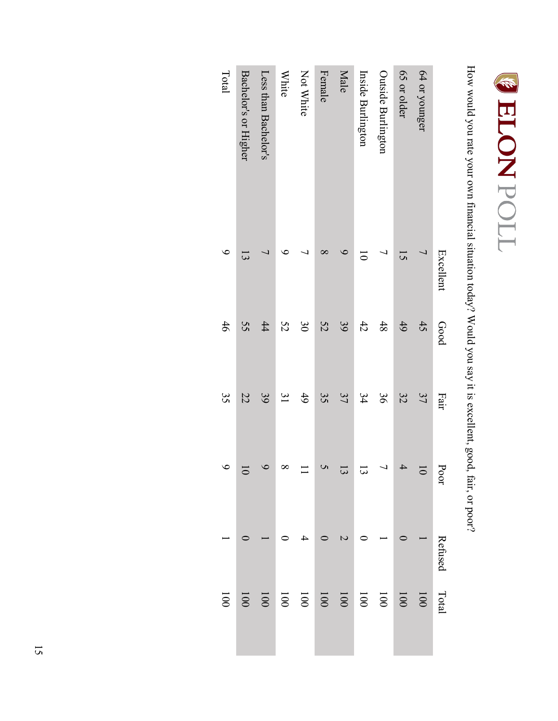

How would you rate your own financial situation today? Would you say it is excellent, good, fair, or poor? How would you rate your own financial situation today? Would you say it is excellent, good, fair, or poor?

|                      | Excellent          | Good           | Fair          | Poor           | Refused | Total                                              |
|----------------------|--------------------|----------------|---------------|----------------|---------|----------------------------------------------------|
| 64 or younger        | $\overline{L}$     | 45             | 37            | $\overline{5}$ |         | 001                                                |
| 65 or older          | 15                 | 49             | 32            |                |         | 001                                                |
| Outside Burlington   |                    | 48             | 98            |                |         |                                                    |
| Inside Burlington    | $\overline{\circ}$ | 42             | 34            | 13             |         |                                                    |
| Male                 |                    | 39             | 37            | $\vec{3}$      |         |                                                    |
| Female               |                    | 52             | 35            |                |         | 001<br>001<br>001                                  |
| Not White            |                    | $\frac{8}{20}$ | 49            |                |         |                                                    |
| <b>White</b>         |                    | 52             | $\frac{3}{2}$ | $\infty$       |         | $\begin{array}{c c} 100 \\ 001 \\ 000 \end{array}$ |
| Less than Bachelor's |                    | 44             | 39            |                |         |                                                    |
| Bachelor's or Higher |                    | 55             | 22            | ā              |         | $001$                                              |
| Total                |                    | 46             | 35            | $\circ$        |         | $\overline{001}$                                   |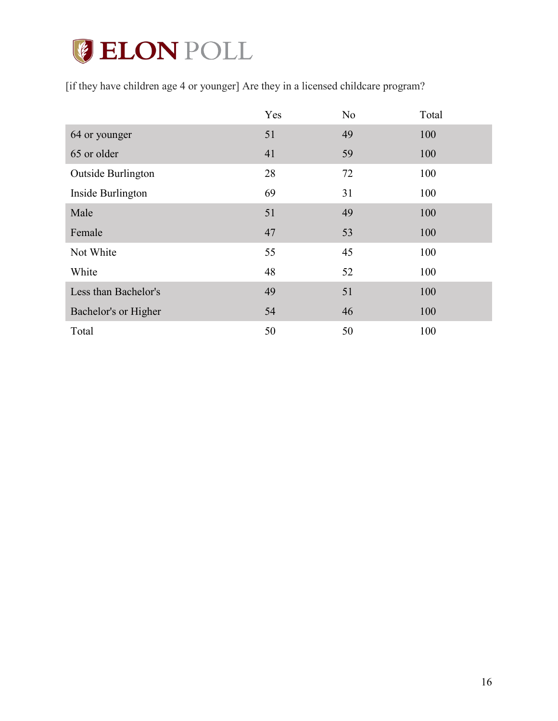# **GELON POLL**

[if they have children age 4 or younger] Are they in a licensed childcare program?

|                           | Yes | N <sub>0</sub> | Total |
|---------------------------|-----|----------------|-------|
| 64 or younger             | 51  | 49             | 100   |
| 65 or older               | 41  | 59             | 100   |
| <b>Outside Burlington</b> | 28  | 72             | 100   |
| Inside Burlington         | 69  | 31             | 100   |
| Male                      | 51  | 49             | 100   |
| Female                    | 47  | 53             | 100   |
| Not White                 | 55  | 45             | 100   |
| White                     | 48  | 52             | 100   |
| Less than Bachelor's      | 49  | 51             | 100   |
| Bachelor's or Higher      | 54  | 46             | 100   |
| Total                     | 50  | 50             | 100   |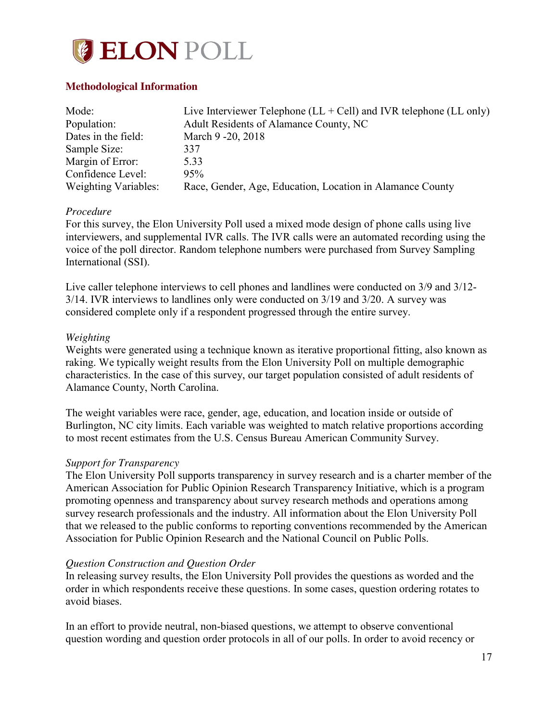

## **Methodological Information**

| Mode:                | Live Interviewer Telephone $(LL + Cell)$ and IVR telephone $(LL \text{ only})$ |
|----------------------|--------------------------------------------------------------------------------|
| Population:          | Adult Residents of Alamance County, NC                                         |
| Dates in the field:  | March 9 - 20, 2018                                                             |
| Sample Size:         | 337                                                                            |
| Margin of Error:     | 5.33                                                                           |
| Confidence Level:    | 95%                                                                            |
| Weighting Variables: | Race, Gender, Age, Education, Location in Alamance County                      |

## *Procedure*

For this survey, the Elon University Poll used a mixed mode design of phone calls using live interviewers, and supplemental IVR calls. The IVR calls were an automated recording using the voice of the poll director. Random telephone numbers were purchased from Survey Sampling International (SSI).

Live caller telephone interviews to cell phones and landlines were conducted on 3/9 and 3/12- 3/14. IVR interviews to landlines only were conducted on 3/19 and 3/20. A survey was considered complete only if a respondent progressed through the entire survey.

## *Weighting*

Weights were generated using a technique known as iterative proportional fitting, also known as raking. We typically weight results from the Elon University Poll on multiple demographic characteristics. In the case of this survey, our target population consisted of adult residents of Alamance County, North Carolina.

The weight variables were race, gender, age, education, and location inside or outside of Burlington, NC city limits. Each variable was weighted to match relative proportions according to most recent estimates from the U.S. Census Bureau American Community Survey.

## *Support for Transparency*

The Elon University Poll supports transparency in survey research and is a charter member of the American Association for Public Opinion Research Transparency Initiative, which is a program promoting openness and transparency about survey research methods and operations among survey research professionals and the industry. All information about the Elon University Poll that we released to the public conforms to reporting conventions recommended by the American Association for Public Opinion Research and the National Council on Public Polls.

## *Question Construction and Question Order*

In releasing survey results, the Elon University Poll provides the questions as worded and the order in which respondents receive these questions. In some cases, question ordering rotates to avoid biases.

In an effort to provide neutral, non-biased questions, we attempt to observe conventional question wording and question order protocols in all of our polls. In order to avoid recency or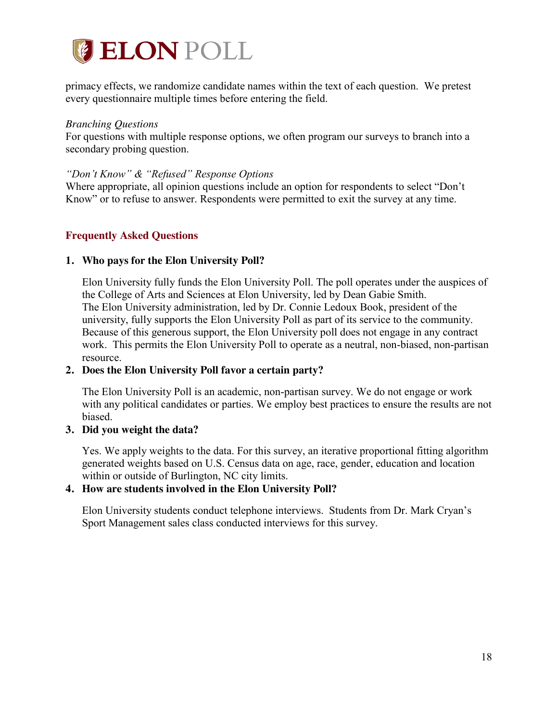

primacy effects, we randomize candidate names within the text of each question. We pretest every questionnaire multiple times before entering the field.

#### *Branching Questions*

For questions with multiple response options, we often program our surveys to branch into a secondary probing question.

#### *"Don't Know" & "Refused" Response Options*

Where appropriate, all opinion questions include an option for respondents to select "Don't Know" or to refuse to answer. Respondents were permitted to exit the survey at any time.

## **Frequently Asked Questions**

## **1. Who pays for the Elon University Poll?**

Elon University fully funds the Elon University Poll. The poll operates under the auspices of the College of Arts and Sciences at Elon University, led by Dean Gabie Smith. The Elon University administration, led by Dr. Connie Ledoux Book, president of the university, fully supports the Elon University Poll as part of its service to the community. Because of this generous support, the Elon University poll does not engage in any contract work. This permits the Elon University Poll to operate as a neutral, non-biased, non-partisan resource.

## **2. Does the Elon University Poll favor a certain party?**

The Elon University Poll is an academic, non-partisan survey. We do not engage or work with any political candidates or parties. We employ best practices to ensure the results are not biased.

## **3. Did you weight the data?**

Yes. We apply weights to the data. For this survey, an iterative proportional fitting algorithm generated weights based on U.S. Census data on age, race, gender, education and location within or outside of Burlington, NC city limits.

## **4. How are students involved in the Elon University Poll?**

Elon University students conduct telephone interviews. Students from Dr. Mark Cryan's Sport Management sales class conducted interviews for this survey.